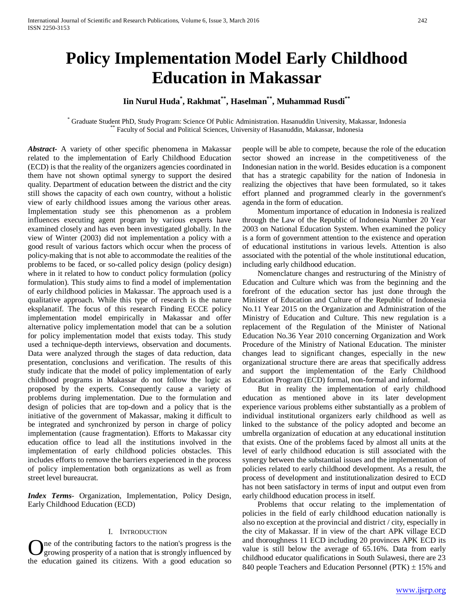# **Policy Implementation Model Early Childhood Education in Makassar**

# **Iin Nurul Huda\* , Rakhmat\*\*, Haselman\*\*, Muhammad Rusdi\*\***

Graduate Student PhD, Study Program: Science Of Public Administration. Hasanuddin University, Makassar, Indonesia \*\* Faculty of Social and Political Sciences, University of Hasanuddin, Makassar, Indonesia

*Abstract***-** A variety of other specific phenomena in Makassar related to the implementation of Early Childhood Education (ECD) is that the reality of the organizers agencies coordinated in them have not shown optimal synergy to support the desired quality. Department of education between the district and the city still shows the capacity of each own country, without a holistic view of early childhood issues among the various other areas. Implementation study see this phenomenon as a problem influences executing agent program by various experts have examined closely and has even been investigated globally. In the view of Winter (2003) did not implementation a policy with a good result of various factors which occur when the process of policy-making that is not able to accommodate the realities of the problems to be faced, or so-called policy design (policy design) where in it related to how to conduct policy formulation (policy formulation). This study aims to find a model of implementation of early childhood policies in Makassar. The approach used is a qualitative approach. While this type of research is the nature eksplanatif. The focus of this research Finding ECCE policy implementation model empirically in Makassar and offer alternative policy implementation model that can be a solution for policy implementation model that exists today. This study used a technique-depth interviews, observation and documents. Data were analyzed through the stages of data reduction, data presentation, conclusions and verification. The results of this study indicate that the model of policy implementation of early childhood programs in Makassar do not follow the logic as proposed by the experts. Consequently cause a variety of problems during implementation. Due to the formulation and design of policies that are top-down and a policy that is the initiative of the government of Makassar, making it difficult to be integrated and synchronized by person in charge of policy implementation (cause fragmentation). Efforts to Makassar city education office to lead all the institutions involved in the implementation of early childhood policies obstacles. This includes efforts to remove the barriers experienced in the process of policy implementation both organizations as well as from street level bureaucrat.

*Index Terms*- Organization, Implementation, Policy Design, Early Childhood Education (ECD)

# I. INTRODUCTION

ne of the contributing factors to the nation's progress is the growing prosperity of a nation that is strongly influenced by **C** are of the contributing factors to the nation's progress is the growing prosperity of a nation that is strongly influenced by the education gained its citizens. With a good education so people will be able to compete, because the role of the education sector showed an increase in the competitiveness of the Indonesian nation in the world. Besides education is a component that has a strategic capability for the nation of Indonesia in realizing the objectives that have been formulated, so it takes effort planned and programmed clearly in the government's agenda in the form of education.

 Momentum importance of education in Indonesia is realized through the Law of the Republic of Indonesia Number 20 Year 2003 on National Education System. When examined the policy is a form of government attention to the existence and operation of educational institutions in various levels. Attention is also associated with the potential of the whole institutional education, including early childhood education.

 Nomenclature changes and restructuring of the Ministry of Education and Culture which was from the beginning and the forefront of the education sector has just done through the Minister of Education and Culture of the Republic of Indonesia No.11 Year 2015 on the Organization and Administration of the Ministry of Education and Culture. This new regulation is a replacement of the Regulation of the Minister of National Education No.36 Year 2010 concerning Organization and Work Procedure of the Ministry of National Education. The minister changes lead to significant changes, especially in the new organizational structure there are areas that specifically address and support the implementation of the Early Childhood Education Program (ECD) formal, non-formal and informal.

 But in reality the implementation of early childhood education as mentioned above in its later development experience various problems either substantially as a problem of individual institutional organizers early childhood as well as linked to the substance of the policy adopted and become an umbrella organization of education at any educational institution that exists. One of the problems faced by almost all units at the level of early childhood education is still associated with the synergy between the substantial issues and the implementation of policies related to early childhood development. As a result, the process of development and institutionalization desired to ECD has not been satisfactory in terms of input and output even from early childhood education process in itself.

 Problems that occur relating to the implementation of policies in the field of early childhood education nationally is also no exception at the provincial and district / city, especially in the city of Makassar. If in view of the chart APK village ECD and thoroughness 11 ECD including 20 provinces APK ECD its value is still below the average of 65.16%. Data from early childhood educator qualifications in South Sulawesi, there are 23 840 people Teachers and Education Personnel ( $PTK$ )  $\pm$  15% and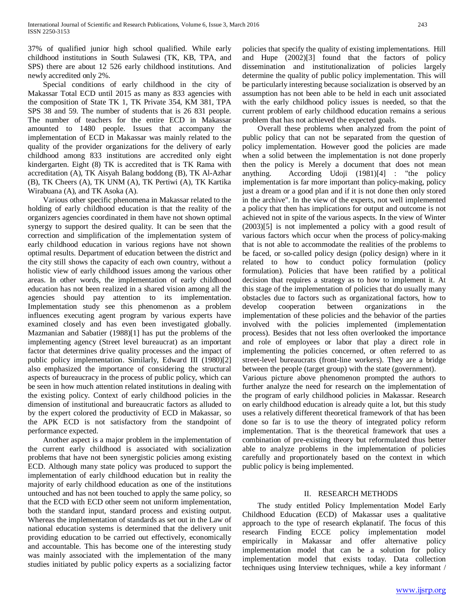37% of qualified junior high school qualified. While early childhood institutions in South Sulawesi (TK, KB, TPA, and SPS) there are about 12 526 early childhood institutions. And newly accredited only 2%.

 Special conditions of early childhood in the city of Makassar Total ECD until 2015 as many as 833 agencies with the composition of State TK 1, TK Private 354, KM 381, TPA SPS 38 and 59. The number of students that is 26 831 people. The number of teachers for the entire ECD in Makassar amounted to 1480 people. Issues that accompany the implementation of ECD in Makassar was mainly related to the quality of the provider organizations for the delivery of early childhood among 833 institutions are accredited only eight kindergarten. Eight (8) TK is accredited that is TK Rama with accreditation (A), TK Aisyah Balang boddong (B), TK Al-Azhar (B), TK Cheers (A), TK UNM (A), TK Pertiwi (A), TK Kartika Wirabuana (A), and TK Asoka (A).

 Various other specific phenomena in Makassar related to the holding of early childhood education is that the reality of the organizers agencies coordinated in them have not shown optimal synergy to support the desired quality. It can be seen that the correction and simplification of the implementation system of early childhood education in various regions have not shown optimal results. Department of education between the district and the city still shows the capacity of each own country, without a holistic view of early childhood issues among the various other areas. In other words, the implementation of early childhood education has not been realized in a shared vision among all the agencies should pay attention to its implementation. Implementation study see this phenomenon as a problem influences executing agent program by various experts have examined closely and has even been investigated globally. Mazmanian and Sabatier (1988)[1] has put the problems of the implementing agency (Street level bureaucrat) as an important factor that determines drive quality processes and the impact of public policy implementation. Similarly, Edward III (1980)[2] also emphasized the importance of considering the structural aspects of bureaucracy in the process of public policy, which can be seen in how much attention related institutions in dealing with the existing policy. Context of early childhood policies in the dimension of institutional and bureaucratic factors as alluded to by the expert colored the productivity of ECD in Makassar, so the APK ECD is not satisfactory from the standpoint of performance expected.

 Another aspect is a major problem in the implementation of the current early childhood is associated with socialization problems that have not been synergistic policies among existing ECD. Although many state policy was produced to support the implementation of early childhood education but in reality the majority of early childhood education as one of the institutions untouched and has not been touched to apply the same policy, so that the ECD with ECD other seem not uniform implementation, both the standard input, standard process and existing output. Whereas the implementation of standards as set out in the Law of national education systems is determined that the delivery unit providing education to be carried out effectively, economically and accountable. This has become one of the interesting study was mainly associated with the implementation of the many studies initiated by public policy experts as a socializing factor

policies that specify the quality of existing implementations. Hill and Hupe (2002)[3] found that the factors of policy dissemination and institutionalization of policies largely determine the quality of public policy implementation. This will be particularly interesting because socialization is observed by an assumption has not been able to be held in each unit associated with the early childhood policy issues is needed, so that the current problem of early childhood education remains a serious problem that has not achieved the expected goals.

 Overall these problems when analyzed from the point of public policy that can not be separated from the question of policy implementation. However good the policies are made when a solid between the implementation is not done properly then the policy is Merely a document that does not mean anything. According Udoji (1981)[4] : "the policy implementation is far more important than policy-making, policy just a dream or a good plan and if it is not done then only stored in the archive". In the view of the experts, not well implemented a policy that then has implications for output and outcome is not achieved not in spite of the various aspects. In the view of Winter (2003)[5] is not implemented a policy with a good result of various factors which occur when the process of policy-making that is not able to accommodate the realities of the problems to be faced, or so-called policy design (policy design) where in it related to how to conduct policy formulation (policy formulation). Policies that have been ratified by a political decision that requires a strategy as to how to implement it. At this stage of the implementation of policies that do usually many obstacles due to factors such as organizational factors, how to develop cooperation between organizations in the implementation of these policies and the behavior of the parties involved with the policies implemented (implementation process). Besides that not less often overlooked the importance and role of employees or labor that play a direct role in implementing the policies concerned, or often referred to as street-level bureaucrats (front-line workers). They are a bridge between the people (target group) with the state (government). Various picture above phenomenon prompted the authors to

further analyze the need for research on the implementation of the program of early childhood policies in Makassar. Research on early childhood education is already quite a lot, but this study uses a relatively different theoretical framework of that has been done so far is to use the theory of integrated policy reform implementation. That is the theoretical framework that uses a combination of pre-existing theory but reformulated thus better able to analyze problems in the implementation of policies carefully and proportionately based on the context in which public policy is being implemented.

# II. RESEARCH METHODS

 The study entitled Policy Implementation Model Early Childhood Education (ECD) of Makassar uses a qualitative approach to the type of research ekplanatif. The focus of this research Finding ECCE policy implementation model empirically in Makassar and offer alternative policy implementation model that can be a solution for policy implementation model that exists today. Data collection techniques using Interview techniques, while a key informant /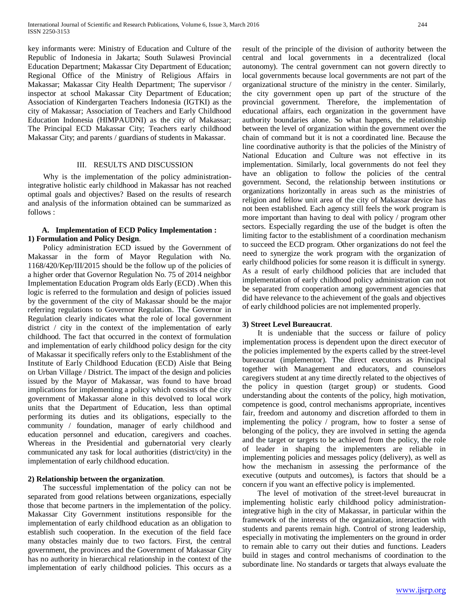key informants were: Ministry of Education and Culture of the Republic of Indonesia in Jakarta; South Sulawesi Provincial Education Department; Makassar City Department of Education; Regional Office of the Ministry of Religious Affairs in Makassar; Makassar City Health Department; The supervisor / inspector at school Makassar City Department of Education; Association of Kindergarten Teachers Indonesia (IGTKI) as the city of Makassar; Association of Teachers and Early Childhood Education Indonesia (HIMPAUDNI) as the city of Makassar; The Principal ECD Makassar City; Teachers early childhood Makassar City; and parents / guardians of students in Makassar.

# III. RESULTS AND DISCUSSION

 Why is the implementation of the policy administrationintegrative holistic early childhood in Makassar has not reached optimal goals and objectives? Based on the results of research and analysis of the information obtained can be summarized as follows :

### **A. Implementation of ECD Policy Implementation : 1) Formulation and Policy Design**.

 Policy administration ECD issued by the Government of Makassar in the form of Mayor Regulation with No. 1168/420/Kep/III/2015 should be the follow up of the policies of a higher order that Governor Regulation No. 75 of 2014 neighbor Implementation Education Program olds Early (ECD) .When this logic is referred to the formulation and design of policies issued by the government of the city of Makassar should be the major referring regulations to Governor Regulation. The Governor in Regulation clearly indicates what the role of local government district / city in the context of the implementation of early childhood. The fact that occurred in the context of formulation and implementation of early childhood policy design for the city of Makassar it specifically refers only to the Establishment of the Institute of Early Childhood Education (ECD) Aisle that Being on Urban Village / District. The impact of the design and policies issued by the Mayor of Makassar, was found to have broad implications for implementing a policy which consists of the city government of Makassar alone in this devolved to local work units that the Department of Education, less than optimal performing its duties and its obligations, especially to the community / foundation, manager of early childhood and education personnel and education, caregivers and coaches. Whereas in the Presidential and gubernatorial very clearly communicated any task for local authorities (district/city) in the implementation of early childhood education.

# **2) Relationship between the organization**.

 The successful implementation of the policy can not be separated from good relations between organizations, especially those that become partners in the implementation of the policy. Makassar City Government institutions responsible for the implementation of early childhood education as an obligation to establish such cooperation. In the execution of the field face many obstacles mainly due to two factors. First, the central government, the provinces and the Government of Makassar City has no authority in hierarchical relationship in the context of the implementation of early childhood policies. This occurs as a result of the principle of the division of authority between the central and local governments in a decentralized (local autonomy). The central government can not govern directly to local governments because local governments are not part of the organizational structure of the ministry in the center. Similarly, the city government open up part of the structure of the provincial government. Therefore, the implementation of educational affairs, each organization in the government have authority boundaries alone. So what happens, the relationship between the level of organization within the government over the chain of command but it is not a coordinated line. Because the line coordinative authority is that the policies of the Ministry of National Education and Culture was not effective in its implementation. Similarly, local governments do not feel they have an obligation to follow the policies of the central government. Second, the relationship between institutions or organizations horizontally in areas such as the ministries of religion and fellow unit area of the city of Makassar device has not been established. Each agency still feels the work program is more important than having to deal with policy / program other sectors. Especially regarding the use of the budget is often the limiting factor to the establishment of a coordination mechanism to succeed the ECD program. Other organizations do not feel the need to synergize the work program with the organization of early childhood policies for some reason it is difficult in synergy. As a result of early childhood policies that are included that implementation of early childhood policy administration can not be separated from cooperation among government agencies that did have relevance to the achievement of the goals and objectives of early childhood policies are not implemented properly.

#### **3) Street Level Bureaucrat**.

 It is undeniable that the success or failure of policy implementation process is dependent upon the direct executor of the policies implemented by the experts called by the street-level bureaucrat (implementor). The direct executors as Principal together with Management and educators, and counselors caregivers student at any time directly related to the objectives of the policy in question (target group) or students. Good understanding about the contents of the policy, high motivation, competence is good, control mechanisms appropriate, incentives fair, freedom and autonomy and discretion afforded to them in implementing the policy / program, how to foster a sense of belonging of the policy, they are involved in setting the agenda and the target or targets to be achieved from the policy, the role of leader in shaping the implementers are reliable in implementing policies and messages policy (delivery), as well as how the mechanism in assessing the performance of the executive (outputs and outcomes), is factors that should be a concern if you want an effective policy is implemented.

 The level of motivation of the street-level bureaucrat in implementing holistic early childhood policy administrationintegrative high in the city of Makassar, in particular within the framework of the interests of the organization, interaction with students and parents remain high. Control of strong leadership, especially in motivating the implementers on the ground in order to remain able to carry out their duties and functions. Leaders build in stages and control mechanisms of coordination to the subordinate line. No standards or targets that always evaluate the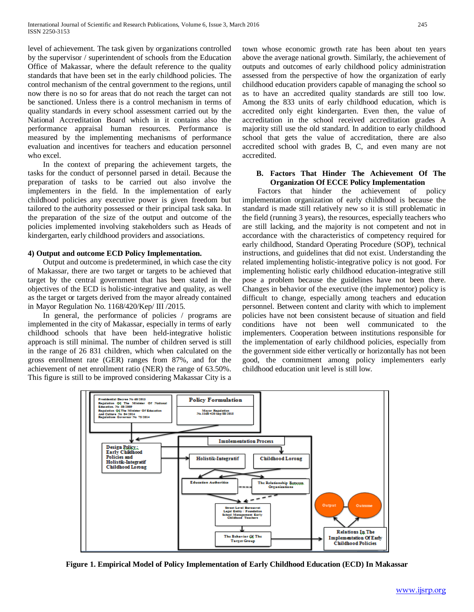level of achievement. The task given by organizations controlled by the supervisor / superintendent of schools from the Education Office of Makassar, where the default reference to the quality standards that have been set in the early childhood policies. The control mechanism of the central government to the regions, until now there is no so for areas that do not reach the target can not be sanctioned. Unless there is a control mechanism in terms of quality standards in every school assessment carried out by the National Accreditation Board which in it contains also the performance appraisal human resources. Performance is measured by the implementing mechanisms of performance evaluation and incentives for teachers and education personnel who excel.

 In the context of preparing the achievement targets, the tasks for the conduct of personnel parsed in detail. Because the preparation of tasks to be carried out also involve the implementers in the field. In the implementation of early childhood policies any executive power is given freedom but tailored to the authority possessed or their principal task saka. In the preparation of the size of the output and outcome of the policies implemented involving stakeholders such as Heads of kindergarten, early childhood providers and associations.

# **4) Output and outcome ECD Policy Implementation.**

 Output and outcome is predetermined, in which case the city of Makassar, there are two target or targets to be achieved that target by the central government that has been stated in the objectives of the ECD is holistic-integrative and quality, as well as the target or targets derived from the mayor already contained in Mayor Regulation No. 1168/420/Kep/ III /2015.

 In general, the performance of policies / programs are implemented in the city of Makassar, especially in terms of early childhood schools that have been held-integrative holistic approach is still minimal. The number of children served is still in the range of 26 831 children, which when calculated on the gross enrollment rate (GER) ranges from 87%, and for the achievement of net enrollment ratio (NER) the range of 63.50%. This figure is still to be improved considering Makassar City is a town whose economic growth rate has been about ten years above the average national growth. Similarly, the achievement of outputs and outcomes of early childhood policy administration assessed from the perspective of how the organization of early childhood education providers capable of managing the school so as to have an accredited quality standards are still too low. Among the 833 units of early childhood education, which is accredited only eight kindergarten. Even then, the value of accreditation in the school received accreditation grades A majority still use the old standard. In addition to early childhood school that gets the value of accreditation, there are also accredited school with grades B, C, and even many are not accredited.

# **B. Factors That Hinder The Achievement Of The Organization Of ECCE Policy Implementation**

 Factors that hinder the achievement of policy implementation organization of early childhood is because the standard is made still relatively new so it is still problematic in the field (running 3 years), the resources, especially teachers who are still lacking, and the majority is not competent and not in accordance with the characteristics of competency required for early childhood, Standard Operating Procedure (SOP), technical instructions, and guidelines that did not exist. Understanding the related implementing holistic-integrative policy is not good. For implementing holistic early childhood education-integrative still pose a problem because the guidelines have not been there. Changes in behavior of the executive (the implementor) policy is difficult to change, especially among teachers and education personnel. Between content and clarity with which to implement policies have not been consistent because of situation and field conditions have not been well communicated to the implementers. Cooperation between institutions responsible for the implementation of early childhood policies, especially from the government side either vertically or horizontally has not been good, the commitment among policy implementers early childhood education unit level is still low.



**Figure 1. Empirical Model of Policy Implementation of Early Childhood Education (ECD) In Makassar**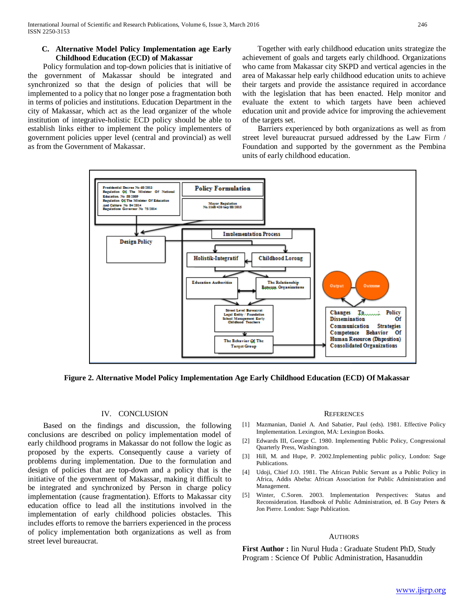# **C. Alternative Model Policy Implementation age Early Childhood Education (ECD) of Makassar**

 Policy formulation and top-down policies that is initiative of the government of Makassar should be integrated and synchronized so that the design of policies that will be implemented to a policy that no longer pose a fragmentation both in terms of policies and institutions. Education Department in the city of Makassar, which act as the lead organizer of the whole institution of integrative-holistic ECD policy should be able to establish links either to implement the policy implementers of government policies upper level (central and provincial) as well as from the Government of Makassar.

 Together with early childhood education units strategize the achievement of goals and targets early childhood. Organizations who came from Makassar city SKPD and vertical agencies in the area of Makassar help early childhood education units to achieve their targets and provide the assistance required in accordance with the legislation that has been enacted. Help monitor and evaluate the extent to which targets have been achieved education unit and provide advice for improving the achievement of the targets set.

 Barriers experienced by both organizations as well as from street level bureaucrat pursued addressed by the Law Firm / Foundation and supported by the government as the Pembina units of early childhood education.



**Figure 2. Alternative Model Policy Implementation Age Early Childhood Education (ECD) Of Makassar**

#### IV. CONCLUSION

 Based on the findings and discussion, the following conclusions are described on policy implementation model of early childhood programs in Makassar do not follow the logic as proposed by the experts. Consequently cause a variety of problems during implementation. Due to the formulation and design of policies that are top-down and a policy that is the initiative of the government of Makassar, making it difficult to be integrated and synchronized by Person in charge policy implementation (cause fragmentation). Efforts to Makassar city education office to lead all the institutions involved in the implementation of early childhood policies obstacles. This includes efforts to remove the barriers experienced in the process of policy implementation both organizations as well as from street level bureaucrat.

#### **REFERENCES**

- [1] Mazmanian, Daniel A. And Sabatier, Paul (eds). 1981. Effective Policy Implementation. Lexington, MA: Lexington Books.
- [2] Edwards III, George C. 1980. Implementing Public Policy, Congressional Quarterly Press, Washington.
- [3] Hill, M. and Hupe, P. 2002.Implementing public policy, London: Sage Publications.
- [4] Udoji, Chief J.O. 1981. The African Public Servant as a Public Policy in Africa, Addis Abeba: African Association for Public Administration and Management.
- [5] Winter, C.Soren. 2003. Implementation Perspectives: Status and Reconsideration. Handbook of Public Administration, ed. B Guy Peters & Jon Pierre. London: Sage Publication.

#### **AUTHORS**

**First Author :** Iin Nurul Huda : Graduate Student PhD, Study Program : Science Of Public Administration, Hasanuddin